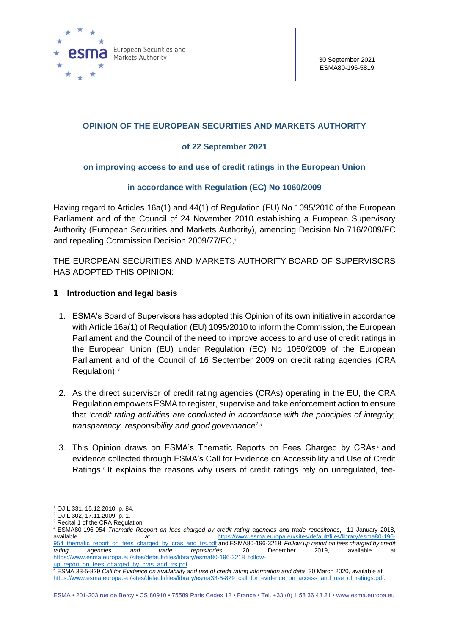

## **OPINION OF THE EUROPEAN SECURITIES AND MARKETS AUTHORITY**

### **of 22 September 2021**

### **on improving access to and use of credit ratings in the European Union**

### **in accordance with Regulation (EC) No 1060/2009**

Having regard to Articles 16a(1) and 44(1) of Regulation (EU) No 1095/2010 of the European Parliament and of the Council of 24 November 2010 establishing a European Supervisory Authority (European Securities and Markets Authority), amending Decision No 716/2009/EC and repealing Commission Decision 2009/77/EC, 1

THE EUROPEAN SECURITIES AND MARKETS AUTHORITY BOARD OF SUPERVISORS HAS ADOPTED THIS OPINION:

### **1 Introduction and legal basis**

- 1. ESMA's Board of Supervisors has adopted this Opinion of its own initiative in accordance with Article 16a(1) of Regulation (EU) 1095/2010 to inform the Commission, the European Parliament and the Council of the need to improve access to and use of credit ratings in the European Union (EU) under Regulation (EC) No 1060/2009 of the European Parliament and of the Council of 16 September 2009 on credit rating agencies (CRA Regulation). 2
- 2. As the direct supervisor of credit rating agencies (CRAs) operating in the EU, the CRA Regulation empowers ESMA to register, supervise and take enforcement action to ensure that *'credit rating activities are conducted in accordance with the principles of integrity, transparency, responsibility and good governance'.<sup>3</sup>*
- 3. This Opinion draws on ESMA's Thematic Reports on Fees Charged by CRAs<sup>4</sup> and evidence collected through ESMA's Call for Evidence on Accessibility and Use of Credit Ratings.<sup>5</sup> It explains the reasons why users of credit ratings rely on unregulated, fee-

<sup>1</sup> OJ L 331, 15.12.2010, p. 84.

<sup>2</sup> OJ L 302, 17.11.2009, p. 1.

<sup>&</sup>lt;sup>3</sup> Recital 1 of the CRA Regulation.

<sup>4</sup> ESMA80-196-954 *Thematic Reoport on fees charged by credit rating agencies and trade repositories*, 11 January 2018, available at [https://www.esma.europa.eu/sites/default/files/library/esma80-196-](https://www.esma.europa.eu/sites/default/files/library/esma80-196-954_thematic_report_on_fees_charged_by_cras_and_trs.pdf) [954\\_thematic\\_report\\_on\\_fees\\_charged\\_by\\_cras\\_and\\_trs.pdf](https://www.esma.europa.eu/sites/default/files/library/esma80-196-954_thematic_report_on_fees_charged_by_cras_and_trs.pdf) and ESMA80-196-3218 *Follow up report on fees charged by credit rating agencies and trade repositories*, 20 December 2019, available at [https://www.esma.europa.eu/sites/default/files/library/esma80-196-3218\\_follow-](https://www.esma.europa.eu/sites/default/files/library/esma80-196-3218_follow-up_report_on_fees_charged_by_cras_and_trs.pdf)

up\_report\_on\_fees\_charged\_by\_cras\_and\_trs.pdf.

<sup>5</sup> ESMA 33-5-829 *Call for Evidence on availability and use of credit rating information and data*, 30 March 2020, available at https://www.esma.europa.eu/sites/default/files/library/esma33-5-829 call\_for\_evidence\_on\_access\_and\_use\_of\_ratings.pdf.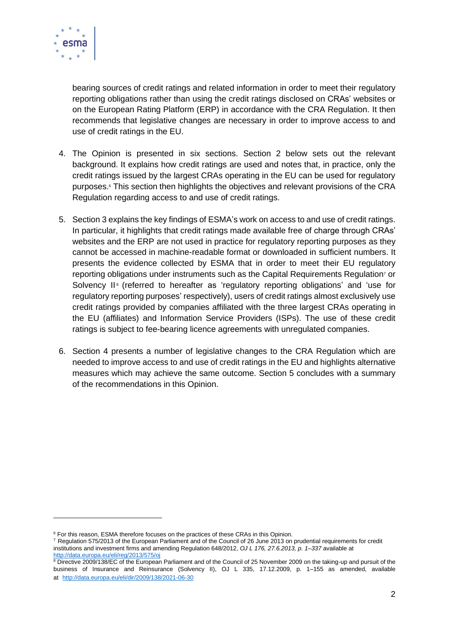

bearing sources of credit ratings and related information in order to meet their regulatory reporting obligations rather than using the credit ratings disclosed on CRAs' websites or on the European Rating Platform (ERP) in accordance with the CRA Regulation. It then recommends that legislative changes are necessary in order to improve access to and use of credit ratings in the EU.

- 4. The Opinion is presented in six sections. Section 2 below sets out the relevant background. It explains how credit ratings are used and notes that, in practice, only the credit ratings issued by the largest CRAs operating in the EU can be used for regulatory purposes. <sup>6</sup> This section then highlights the objectives and relevant provisions of the CRA Regulation regarding access to and use of credit ratings.
- 5. Section 3 explains the key findings of ESMA's work on access to and use of credit ratings. In particular, it highlights that credit ratings made available free of charge through CRAs' websites and the ERP are not used in practice for regulatory reporting purposes as they cannot be accessed in machine-readable format or downloaded in sufficient numbers. It presents the evidence collected by ESMA that in order to meet their EU regulatory reporting obligations under instruments such as the Capital Requirements Regulation<sup>7</sup> or Solvency II<sup>®</sup> (referred to hereafter as 'regulatory reporting obligations' and 'use for regulatory reporting purposes' respectively), users of credit ratings almost exclusively use credit ratings provided by companies affiliated with the three largest CRAs operating in the EU (affiliates) and Information Service Providers (ISPs). The use of these credit ratings is subject to fee-bearing licence agreements with unregulated companies.
- 6. Section 4 presents a number of legislative changes to the CRA Regulation which are needed to improve access to and use of credit ratings in the EU and highlights alternative measures which may achieve the same outcome. Section 5 concludes with a summary of the recommendations in this Opinion.

<sup>&</sup>lt;sup>6</sup> For this reason, ESMA therefore focuses on the practices of these CRAs in this Opinion.

<sup>7</sup> Regulation 575/2013 of the European Parliament and of the Council of 26 June 2013 on prudential requirements for credit institutions and investment firms and amending Regulation 648/2012, *OJ L 176, 27.6.2013, p. 1–337* available at <http://data.europa.eu/eli/reg/2013/575/oj>

<sup>&</sup>lt;sup>8</sup> Directive 2009/138/EC of the European Parliament and of the Council of 25 November 2009 on the taking-up and pursuit of the business of Insurance and Reinsurance (Solvency II), OJ L 335, 17.12.2009, p. 1–155 as amended, available at <http://data.europa.eu/eli/dir/2009/138/2021-06-30>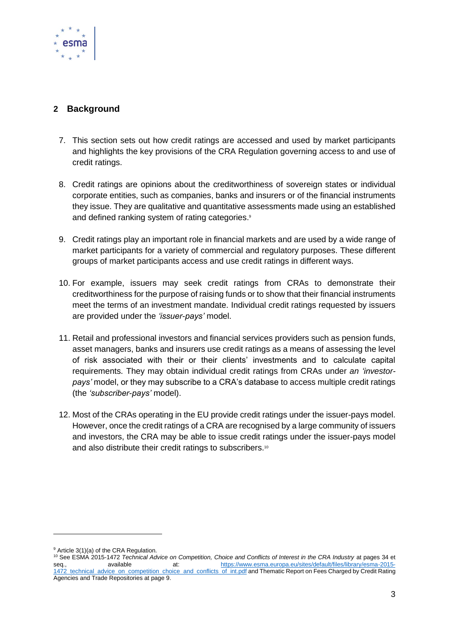

# **2 Background**

- 7. This section sets out how credit ratings are accessed and used by market participants and highlights the key provisions of the CRA Regulation governing access to and use of credit ratings.
- 8. Credit ratings are opinions about the creditworthiness of sovereign states or individual corporate entities, such as companies, banks and insurers or of the financial instruments they issue. They are qualitative and quantitative assessments made using an established and defined ranking system of rating categories.<sup>9</sup>
- 9. Credit ratings play an important role in financial markets and are used by a wide range of market participants for a variety of commercial and regulatory purposes. These different groups of market participants access and use credit ratings in different ways.
- 10. For example, issuers may seek credit ratings from CRAs to demonstrate their creditworthiness for the purpose of raising funds or to show that their financial instruments meet the terms of an investment mandate. Individual credit ratings requested by issuers are provided under the *'issuer-pays'* model.
- 11. Retail and professional investors and financial services providers such as pension funds, asset managers, banks and insurers use credit ratings as a means of assessing the level of risk associated with their or their clients' investments and to calculate capital requirements. They may obtain individual credit ratings from CRAs under *an 'investorpays'* model, or they may subscribe to a CRA's database to access multiple credit ratings (the *'subscriber-pays'* model).
- 12. Most of the CRAs operating in the EU provide credit ratings under the issuer-pays model. However, once the credit ratings of a CRA are recognised by a large community of issuers and investors, the CRA may be able to issue credit ratings under the issuer-pays model and also distribute their credit ratings to subscribers.<sup>10</sup>

<sup>&</sup>lt;sup>9</sup> Article 3(1)(a) of the CRA Regulation.

<sup>10</sup> See ESMA 2015-1472 *Technical Advice on Competition, Choice and Conflicts of Interest in the CRA Industry* at pages 34 et seq., available at: [https://www.esma.europa.eu/sites/default/files/library/esma-2015-](https://www.esma.europa.eu/sites/default/files/library/esma-2015-1472_technical_advice_on_competition_choice_and_conflicts_of_int.pdf) [1472\\_technical\\_advice\\_on\\_competition\\_choice\\_and\\_conflicts\\_of\\_int.pdf](https://www.esma.europa.eu/sites/default/files/library/esma-2015-1472_technical_advice_on_competition_choice_and_conflicts_of_int.pdf) and Thematic Report on Fees Charged by Credit Rating Agencies and Trade Repositories at page 9.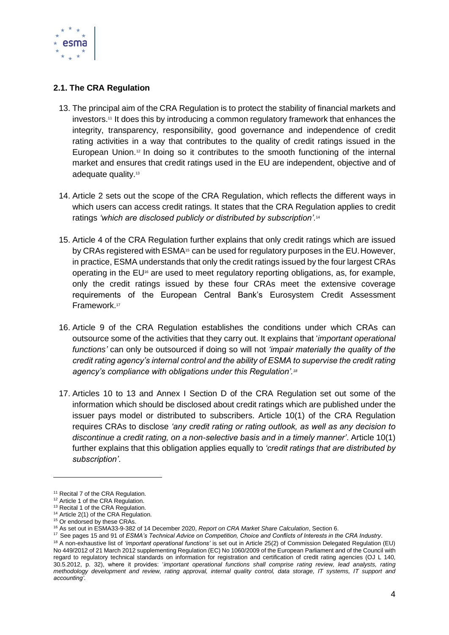

## **2.1. The CRA Regulation**

- 13. The principal aim of the CRA Regulation is to protect the stability of financial markets and investors.<sup>11</sup> It does this by introducing a common regulatory framework that enhances the integrity, transparency, responsibility, good governance and independence of credit rating activities in a way that contributes to the quality of credit ratings issued in the European Union.<sup>12</sup> In doing so it contributes to the smooth functioning of the internal market and ensures that credit ratings used in the EU are independent, objective and of adequate quality.<sup>13</sup>
- 14. Article 2 sets out the scope of the CRA Regulation, which reflects the different ways in which users can access credit ratings. It states that the CRA Regulation applies to credit ratings *'which are disclosed publicly or distributed by subscription'.*<sup>14</sup>
- 15. Article 4 of the CRA Regulation further explains that only credit ratings which are issued by CRAs registered with ESMA<sup>15</sup> can be used for regulatory purposes in the EU. However, in practice, ESMA understands that only the credit ratings issued by the four largest CRAs operating in the  $EU^6$  are used to meet regulatory reporting obligations, as, for example, only the credit ratings issued by these four CRAs meet the extensive coverage requirements of the European Central Bank's Eurosystem Credit Assessment Framework. 17
- 16. Article 9 of the CRA Regulation establishes the conditions under which CRAs can outsource some of the activities that they carry out. It explains that '*important operational functions'* can only be outsourced if doing so will not *'impair materially the quality of the credit rating agency's internal control and the ability of ESMA to supervise the credit rating agency's compliance with obligations under this Regulation'.<sup>18</sup>*
- 17. Articles 10 to 13 and Annex I Section D of the CRA Regulation set out some of the information which should be disclosed about credit ratings which are published under the issuer pays model or distributed to subscribers. Article 10(1) of the CRA Regulation requires CRAs to disclose *'any credit rating or rating outlook, as well as any decision to discontinue a credit rating, on a non-selective basis and in a timely manner'*. Article 10(1) further explains that this obligation applies equally to *'credit ratings that are distributed by subscription'*.

<sup>&</sup>lt;sup>11</sup> Recital 7 of the CRA Regulation.

<sup>&</sup>lt;sup>12</sup> Article 1 of the CRA Regulation.

<sup>&</sup>lt;sup>13</sup> Recital 1 of the CRA Regulation.

<sup>&</sup>lt;sup>14</sup> Article 2(1) of the CRA Regulation.

<sup>&</sup>lt;sup>15</sup> Or endorsed by these CRAs.

<sup>16</sup> As set out in ESMA33-9-382 of 14 December 2020, *Report on CRA Market Share Calculation*, Section 6.

<sup>17</sup> See pages 15 and 91 of *ESMA's Technical Advice on Competition, Choice and Conflicts of Interests in the CRA Industry*. <sup>18</sup> A non-exhaustive list of *'important operational functions'* is set out in Article 25(2) of Commission Delegated Regulation (EU) No 449/2012 of 21 March 2012 supplementing Regulation (EC) No 1060/2009 of the European Parliament and of the Council with regard to regulatory technical standards on information for registration and certification of credit rating agencies (OJ L 140, 30.5.2012, p. 32), where it provides: '*important operational functions shall comprise rating review, lead analysts, rating methodology development and review, rating approval, internal quality control, data storage, IT systems, IT support and accounting'.*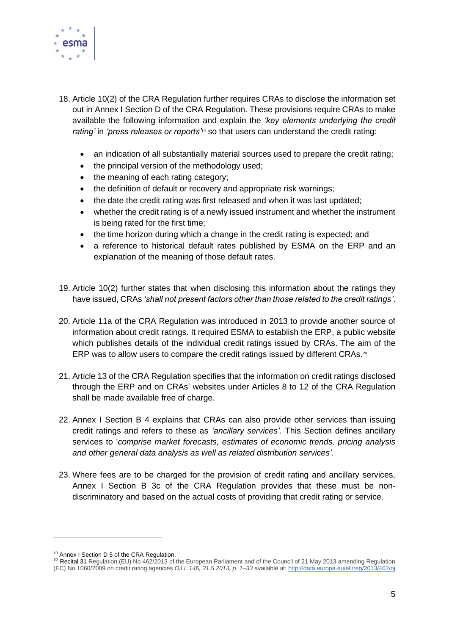

- 18. Article 10(2) of the CRA Regulation further requires CRAs to disclose the information set out in Annex I Section D of the CRA Regulation. These provisions require CRAs to make available the following information and explain the *'key elements underlying the credit rating'* in *'press releases or reports'*<sup>19</sup> so that users can understand the credit rating:
	- an indication of all substantially material sources used to prepare the credit rating;
	- the principal version of the methodology used;
	- the meaning of each rating category;
	- the definition of default or recovery and appropriate risk warnings;
	- the date the credit rating was first released and when it was last updated;
	- whether the credit rating is of a newly issued instrument and whether the instrument is being rated for the first time;
	- the time horizon during which a change in the credit rating is expected; and
	- a reference to historical default rates published by ESMA on the ERP and an explanation of the meaning of those default rates.
- 19. Article 10(2) further states that when disclosing this information about the ratings they have issued, CRAs *'shall not present factors other than those related to the credit ratings'*.
- 20. Article 11a of the CRA Regulation was introduced in 2013 to provide another source of information about credit ratings. It required ESMA to establish the ERP, a public website which publishes details of the individual credit ratings issued by CRAs. The aim of the ERP was to allow users to compare the credit ratings issued by different CRAs.<sup>20</sup>
- 21. Article 13 of the CRA Regulation specifies that the information on credit ratings disclosed through the ERP and on CRAs' websites under Articles 8 to 12 of the CRA Regulation shall be made available free of charge.
- 22. Annex I Section B 4 explains that CRAs can also provide other services than issuing credit ratings and refers to these as *'ancillary services'*. This Section defines ancillary services to '*comprise market forecasts, estimates of economic trends, pricing analysis and other general data analysis as well as related distribution services'.*
- 23. Where fees are to be charged for the provision of credit rating and ancillary services, Annex I Section B 3c of the CRA Regulation provides that these must be nondiscriminatory and based on the actual costs of providing that credit rating or service.

<sup>19</sup> Annex I Section D 5 of the CRA Regulation.

<sup>&</sup>lt;sup>20</sup> Recital 31 Regulation (EU) No 462/2013 of the European Parliament and of the Council of 21 May 2013 amending Regulation (EC) No 1060/2009 on credit rating agencies *OJ L 146, 31.5.2013, p. 1–33* available at: <http://data.europa.eu/eli/reg/2013/462/oj>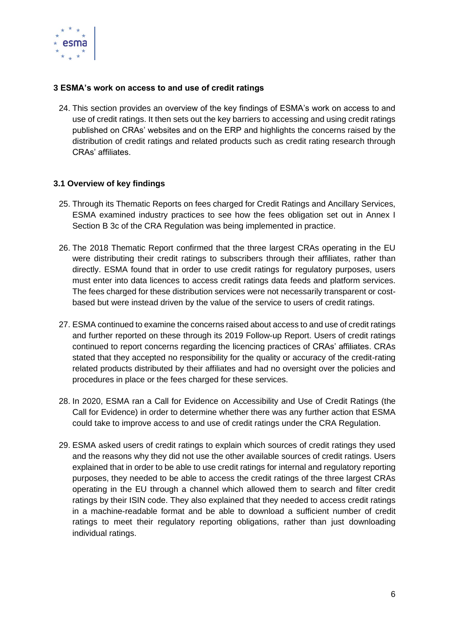

### **3 ESMA's work on access to and use of credit ratings**

24. This section provides an overview of the key findings of ESMA's work on access to and use of credit ratings. It then sets out the key barriers to accessing and using credit ratings published on CRAs' websites and on the ERP and highlights the concerns raised by the distribution of credit ratings and related products such as credit rating research through CRAs' affiliates.

### **3.1 Overview of key findings**

- 25. Through its Thematic Reports on fees charged for Credit Ratings and Ancillary Services, ESMA examined industry practices to see how the fees obligation set out in Annex I Section B 3c of the CRA Regulation was being implemented in practice.
- 26. The 2018 Thematic Report confirmed that the three largest CRAs operating in the EU were distributing their credit ratings to subscribers through their affiliates, rather than directly. ESMA found that in order to use credit ratings for regulatory purposes, users must enter into data licences to access credit ratings data feeds and platform services. The fees charged for these distribution services were not necessarily transparent or costbased but were instead driven by the value of the service to users of credit ratings.
- 27. ESMA continued to examine the concerns raised about access to and use of credit ratings and further reported on these through its 2019 Follow-up Report. Users of credit ratings continued to report concerns regarding the licencing practices of CRAs' affiliates. CRAs stated that they accepted no responsibility for the quality or accuracy of the credit-rating related products distributed by their affiliates and had no oversight over the policies and procedures in place or the fees charged for these services.
- 28. In 2020, ESMA ran a Call for Evidence on Accessibility and Use of Credit Ratings (the Call for Evidence) in order to determine whether there was any further action that ESMA could take to improve access to and use of credit ratings under the CRA Regulation.
- 29. ESMA asked users of credit ratings to explain which sources of credit ratings they used and the reasons why they did not use the other available sources of credit ratings. Users explained that in order to be able to use credit ratings for internal and regulatory reporting purposes, they needed to be able to access the credit ratings of the three largest CRAs operating in the EU through a channel which allowed them to search and filter credit ratings by their ISIN code. They also explained that they needed to access credit ratings in a machine-readable format and be able to download a sufficient number of credit ratings to meet their regulatory reporting obligations, rather than just downloading individual ratings.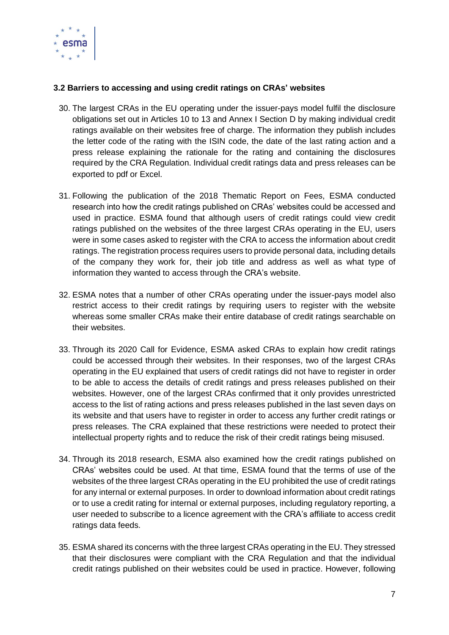

## **3.2 Barriers to accessing and using credit ratings on CRAs' websites**

- 30. The largest CRAs in the EU operating under the issuer-pays model fulfil the disclosure obligations set out in Articles 10 to 13 and Annex I Section D by making individual credit ratings available on their websites free of charge. The information they publish includes the letter code of the rating with the ISIN code, the date of the last rating action and a press release explaining the rationale for the rating and containing the disclosures required by the CRA Regulation. Individual credit ratings data and press releases can be exported to pdf or Excel.
- 31. Following the publication of the 2018 Thematic Report on Fees, ESMA conducted research into how the credit ratings published on CRAs' websites could be accessed and used in practice. ESMA found that although users of credit ratings could view credit ratings published on the websites of the three largest CRAs operating in the EU, users were in some cases asked to register with the CRA to access the information about credit ratings. The registration process requires users to provide personal data, including details of the company they work for, their job title and address as well as what type of information they wanted to access through the CRA's website.
- 32. ESMA notes that a number of other CRAs operating under the issuer-pays model also restrict access to their credit ratings by requiring users to register with the website whereas some smaller CRAs make their entire database of credit ratings searchable on their websites.
- 33. Through its 2020 Call for Evidence, ESMA asked CRAs to explain how credit ratings could be accessed through their websites. In their responses, two of the largest CRAs operating in the EU explained that users of credit ratings did not have to register in order to be able to access the details of credit ratings and press releases published on their websites. However, one of the largest CRAs confirmed that it only provides unrestricted access to the list of rating actions and press releases published in the last seven days on its website and that users have to register in order to access any further credit ratings or press releases. The CRA explained that these restrictions were needed to protect their intellectual property rights and to reduce the risk of their credit ratings being misused.
- 34. Through its 2018 research, ESMA also examined how the credit ratings published on CRAs' websites could be used. At that time, ESMA found that the terms of use of the websites of the three largest CRAs operating in the EU prohibited the use of credit ratings for any internal or external purposes. In order to download information about credit ratings or to use a credit rating for internal or external purposes, including regulatory reporting, a user needed to subscribe to a licence agreement with the CRA's affiliate to access credit ratings data feeds.
- 35. ESMA shared its concerns with the three largest CRAs operating in the EU. They stressed that their disclosures were compliant with the CRA Regulation and that the individual credit ratings published on their websites could be used in practice. However, following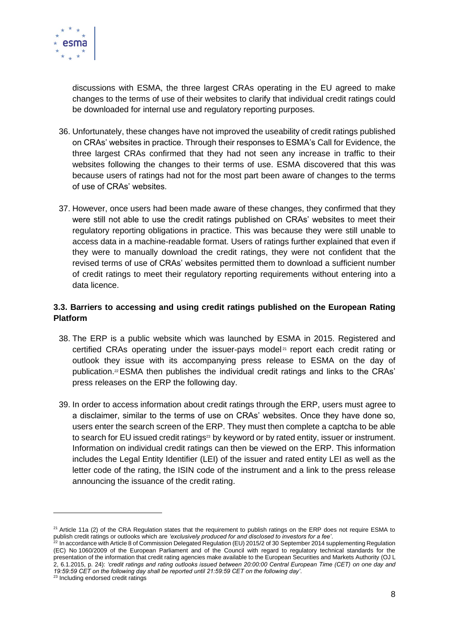

discussions with ESMA, the three largest CRAs operating in the EU agreed to make changes to the terms of use of their websites to clarify that individual credit ratings could be downloaded for internal use and regulatory reporting purposes.

- 36. Unfortunately, these changes have not improved the useability of credit ratings published on CRAs' websites in practice. Through their responses to ESMA's Call for Evidence, the three largest CRAs confirmed that they had not seen any increase in traffic to their websites following the changes to their terms of use. ESMA discovered that this was because users of ratings had not for the most part been aware of changes to the terms of use of CRAs' websites.
- 37. However, once users had been made aware of these changes, they confirmed that they were still not able to use the credit ratings published on CRAs' websites to meet their regulatory reporting obligations in practice. This was because they were still unable to access data in a machine-readable format. Users of ratings further explained that even if they were to manually download the credit ratings, they were not confident that the revised terms of use of CRAs' websites permitted them to download a sufficient number of credit ratings to meet their regulatory reporting requirements without entering into a data licence.

# **3.3. Barriers to accessing and using credit ratings published on the European Rating Platform**

- 38. The ERP is a public website which was launched by ESMA in 2015. Registered and certified CRAs operating under the issuer-pays model<sup>21</sup> report each credit rating or outlook they issue with its accompanying press release to ESMA on the day of publication.22ESMA then publishes the individual credit ratings and links to the CRAs' press releases on the ERP the following day.
- 39. In order to access information about credit ratings through the ERP, users must agree to a disclaimer, similar to the terms of use on CRAs' websites. Once they have done so, users enter the search screen of the ERP. They must then complete a captcha to be able to search for EU issued credit ratings<sup>23</sup> by keyword or by rated entity, issuer or instrument. Information on individual credit ratings can then be viewed on the ERP. This information includes the Legal Entity Identifier (LEI) of the issuer and rated entity LEI as well as the letter code of the rating, the ISIN code of the instrument and a link to the press release announcing the issuance of the credit rating.

 $21$  Article 11a (2) of the CRA Regulation states that the requirement to publish ratings on the ERP does not require ESMA to publish credit ratings or outlooks which are *'exclusively produced for and disclosed to investors for a fee'*.

 $^{22}$  In accordance with Article 8 of Commission Delegated Regulation (EU) 2015/2 of 30 September 2014 supplementing Regulation (EC) No 1060/2009 of the European Parliament and of the Council with regard to regulatory technical standards for the presentation of the information that credit rating agencies make available to the European Securities and Markets Authority (OJ L 2, 6.1.2015, p. 24): *'credit ratings and rating outlooks issued between 20:00:00 Central European Time (CET) on one day and 19:59:59 CET on the following day shall be reported until 21:59:59 CET on the following day'*.

<sup>23</sup> Including endorsed credit ratings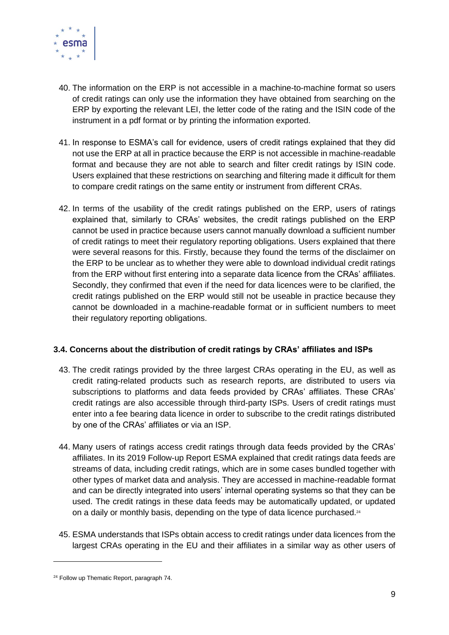

- 40. The information on the ERP is not accessible in a machine-to-machine format so users of credit ratings can only use the information they have obtained from searching on the ERP by exporting the relevant LEI, the letter code of the rating and the ISIN code of the instrument in a pdf format or by printing the information exported.
- 41. In response to ESMA's call for evidence, users of credit ratings explained that they did not use the ERP at all in practice because the ERP is not accessible in machine-readable format and because they are not able to search and filter credit ratings by ISIN code. Users explained that these restrictions on searching and filtering made it difficult for them to compare credit ratings on the same entity or instrument from different CRAs.
- 42. In terms of the usability of the credit ratings published on the ERP, users of ratings explained that, similarly to CRAs' websites, the credit ratings published on the ERP cannot be used in practice because users cannot manually download a sufficient number of credit ratings to meet their regulatory reporting obligations. Users explained that there were several reasons for this. Firstly, because they found the terms of the disclaimer on the ERP to be unclear as to whether they were able to download individual credit ratings from the ERP without first entering into a separate data licence from the CRAs' affiliates. Secondly, they confirmed that even if the need for data licences were to be clarified, the credit ratings published on the ERP would still not be useable in practice because they cannot be downloaded in a machine-readable format or in sufficient numbers to meet their regulatory reporting obligations.

## **3.4. Concerns about the distribution of credit ratings by CRAs' affiliates and ISPs**

- 43. The credit ratings provided by the three largest CRAs operating in the EU, as well as credit rating-related products such as research reports, are distributed to users via subscriptions to platforms and data feeds provided by CRAs' affiliates. These CRAs' credit ratings are also accessible through third-party ISPs. Users of credit ratings must enter into a fee bearing data licence in order to subscribe to the credit ratings distributed by one of the CRAs' affiliates or via an ISP.
- 44. Many users of ratings access credit ratings through data feeds provided by the CRAs' affiliates. In its 2019 Follow-up Report ESMA explained that credit ratings data feeds are streams of data, including credit ratings, which are in some cases bundled together with other types of market data and analysis. They are accessed in machine-readable format and can be directly integrated into users' internal operating systems so that they can be used. The credit ratings in these data feeds may be automatically updated, or updated on a daily or monthly basis, depending on the type of data licence purchased.<sup>24</sup>
- 45. ESMA understands that ISPs obtain access to credit ratings under data licences from the largest CRAs operating in the EU and their affiliates in a similar way as other users of

<sup>&</sup>lt;sup>24</sup> Follow up Thematic Report, paragraph 74.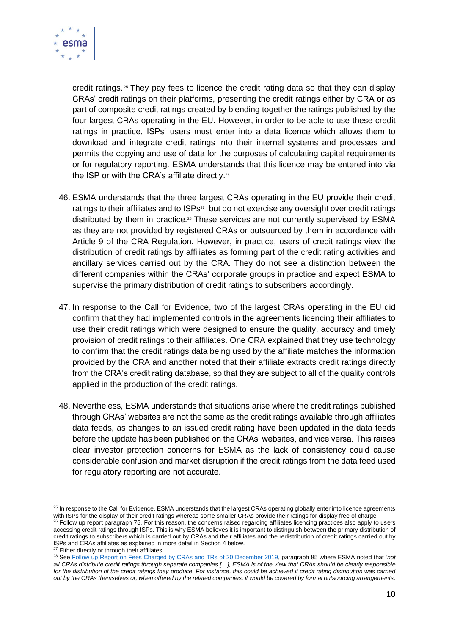

credit ratings. <sup>25</sup> They pay fees to licence the credit rating data so that they can display CRAs' credit ratings on their platforms, presenting the credit ratings either by CRA or as part of composite credit ratings created by blending together the ratings published by the four largest CRAs operating in the EU. However, in order to be able to use these credit ratings in practice, ISPs' users must enter into a data licence which allows them to download and integrate credit ratings into their internal systems and processes and permits the copying and use of data for the purposes of calculating capital requirements or for regulatory reporting. ESMA understands that this licence may be entered into via the ISP or with the CRA's affiliate directly.<sup>26</sup>

- 46. ESMA understands that the three largest CRAs operating in the EU provide their credit ratings to their affiliates and to ISPs<sup>27</sup> but do not exercise any oversight over credit ratings distributed by them in practice.<sup>28</sup> These services are not currently supervised by ESMA as they are not provided by registered CRAs or outsourced by them in accordance with Article 9 of the CRA Regulation. However, in practice, users of credit ratings view the distribution of credit ratings by affiliates as forming part of the credit rating activities and ancillary services carried out by the CRA. They do not see a distinction between the different companies within the CRAs' corporate groups in practice and expect ESMA to supervise the primary distribution of credit ratings to subscribers accordingly.
- 47. In response to the Call for Evidence, two of the largest CRAs operating in the EU did confirm that they had implemented controls in the agreements licencing their affiliates to use their credit ratings which were designed to ensure the quality, accuracy and timely provision of credit ratings to their affiliates. One CRA explained that they use technology to confirm that the credit ratings data being used by the affiliate matches the information provided by the CRA and another noted that their affiliate extracts credit ratings directly from the CRA's credit rating database, so that they are subject to all of the quality controls applied in the production of the credit ratings.
- 48. Nevertheless, ESMA understands that situations arise where the credit ratings published through CRAs' websites are not the same as the credit ratings available through affiliates data feeds, as changes to an issued credit rating have been updated in the data feeds before the update has been published on the CRAs' websites, and vice versa. This raises clear investor protection concerns for ESMA as the lack of consistency could cause considerable confusion and market disruption if the credit ratings from the data feed used for regulatory reporting are not accurate.

<sup>&</sup>lt;sup>25</sup> In response to the Call for Evidence, ESMA understands that the largest CRAs operating globally enter into licence agreements with ISPs for the display of their credit ratings whereas some smaller CRAs provide their ratings for display free of charge.

<sup>&</sup>lt;sup>26</sup> Follow up report paragraph 75. For this reason, the concerns raised regarding affiliates licencing practices also apply to users accessing credit ratings through ISPs. This is why ESMA believes it is important to distinguish between the primary distribution of credit ratings to subscribers which is carried out by CRAs and their affiliates and the redistribution of credit ratings carried out by ISPs and CRAs affiliates as explained in more detail in Section 4 below.

<sup>&</sup>lt;sup>27</sup> Either directly or through their affiliates.

<sup>28</sup> Se[e Follow up Report on Fees Charged by CRAs and TRs of 20 December 2019,](https://www.esma.europa.eu/sites/default/files/library/esma80-196-3218_follow-up_report_on_fees_charged_by_cras_and_trs.pdf) paragraph 85 where ESMA noted that *'not all CRAs distribute credit ratings through separate companies […], ESMA is of the view that CRAs should be clearly responsible*  for the distribution of the credit ratings they produce. For instance, this could be achieved if credit rating distribution was carried *out by the CRAs themselves or, when offered by the related companies, it would be covered by formal outsourcing arrangements*.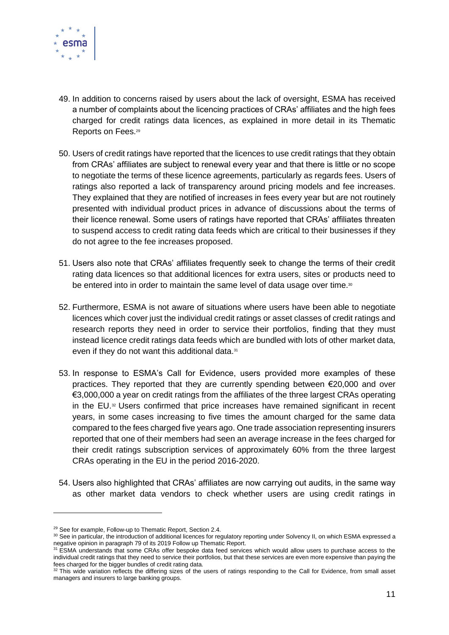

- 49. In addition to concerns raised by users about the lack of oversight, ESMA has received a number of complaints about the licencing practices of CRAs' affiliates and the high fees charged for credit ratings data licences, as explained in more detail in its Thematic Reports on Fees.<sup>29</sup>
- 50. Users of credit ratings have reported that the licences to use credit ratings that they obtain from CRAs' affiliates are subject to renewal every year and that there is little or no scope to negotiate the terms of these licence agreements, particularly as regards fees. Users of ratings also reported a lack of transparency around pricing models and fee increases. They explained that they are notified of increases in fees every year but are not routinely presented with individual product prices in advance of discussions about the terms of their licence renewal. Some users of ratings have reported that CRAs' affiliates threaten to suspend access to credit rating data feeds which are critical to their businesses if they do not agree to the fee increases proposed.
- 51. Users also note that CRAs' affiliates frequently seek to change the terms of their credit rating data licences so that additional licences for extra users, sites or products need to be entered into in order to maintain the same level of data usage over time.<sup>30</sup>
- 52. Furthermore, ESMA is not aware of situations where users have been able to negotiate licences which cover just the individual credit ratings or asset classes of credit ratings and research reports they need in order to service their portfolios, finding that they must instead licence credit ratings data feeds which are bundled with lots of other market data, even if they do not want this additional data.<sup>31</sup>
- 53. In response to ESMA's Call for Evidence, users provided more examples of these practices. They reported that they are currently spending between €20,000 and over €3,000,000 a year on credit ratings from the affiliates of the three largest CRAs operating in the EU. <sup>32</sup> Users confirmed that price increases have remained significant in recent years, in some cases increasing to five times the amount charged for the same data compared to the fees charged five years ago. One trade association representing insurers reported that one of their members had seen an average increase in the fees charged for their credit ratings subscription services of approximately 60% from the three largest CRAs operating in the EU in the period 2016-2020.
- 54. Users also highlighted that CRAs' affiliates are now carrying out audits, in the same way as other market data vendors to check whether users are using credit ratings in

<sup>&</sup>lt;sup>29</sup> See for example, Follow-up to Thematic Report, Section 2.4.

<sup>30</sup> See in particular, the introduction of additional licences for regulatory reporting under Solvency II, on which ESMA expressed a negative opinion in paragraph 79 of its 2019 Follow up Thematic Report.

<sup>&</sup>lt;sup>31</sup> ESMA understands that some CRAs offer bespoke data feed services which would allow users to purchase access to the individual credit ratings that they need to service their portfolios, but that these services are even more expensive than paying the fees charged for the bigger bundles of credit rating data.

 $32$  This wide variation reflects the differing sizes of the users of ratings responding to the Call for Evidence, from small asset managers and insurers to large banking groups.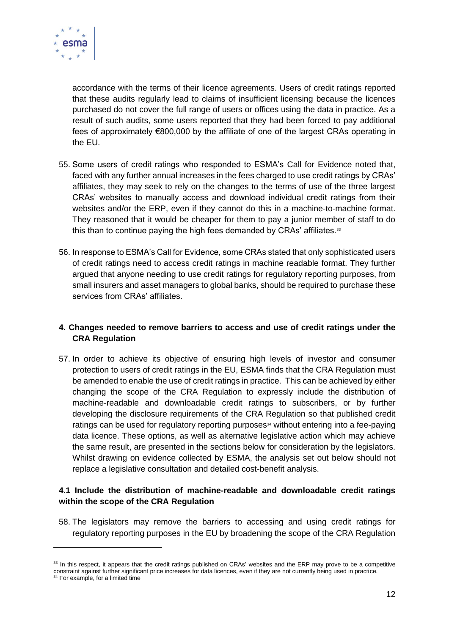

accordance with the terms of their licence agreements. Users of credit ratings reported that these audits regularly lead to claims of insufficient licensing because the licences purchased do not cover the full range of users or offices using the data in practice. As a result of such audits, some users reported that they had been forced to pay additional fees of approximately €800,000 by the affiliate of one of the largest CRAs operating in the EU.

- 55. Some users of credit ratings who responded to ESMA's Call for Evidence noted that, faced with any further annual increases in the fees charged to use credit ratings by CRAs' affiliates, they may seek to rely on the changes to the terms of use of the three largest CRAs' websites to manually access and download individual credit ratings from their websites and/or the ERP, even if they cannot do this in a machine-to-machine format. They reasoned that it would be cheaper for them to pay a junior member of staff to do this than to continue paying the high fees demanded by CRAs' affiliates.<sup>33</sup>
- 56. In response to ESMA's Call for Evidence, some CRAs stated that only sophisticated users of credit ratings need to access credit ratings in machine readable format. They further argued that anyone needing to use credit ratings for regulatory reporting purposes, from small insurers and asset managers to global banks, should be required to purchase these services from CRAs' affiliates.

## **4. Changes needed to remove barriers to access and use of credit ratings under the CRA Regulation**

57. In order to achieve its objective of ensuring high levels of investor and consumer protection to users of credit ratings in the EU, ESMA finds that the CRA Regulation must be amended to enable the use of credit ratings in practice. This can be achieved by either changing the scope of the CRA Regulation to expressly include the distribution of machine-readable and downloadable credit ratings to subscribers, or by further developing the disclosure requirements of the CRA Regulation so that published credit ratings can be used for regulatory reporting purposes<sup>34</sup> without entering into a fee-paying data licence. These options, as well as alternative legislative action which may achieve the same result, are presented in the sections below for consideration by the legislators. Whilst drawing on evidence collected by ESMA, the analysis set out below should not replace a legislative consultation and detailed cost-benefit analysis.

### **4.1 Include the distribution of machine-readable and downloadable credit ratings within the scope of the CRA Regulation**

58. The legislators may remove the barriers to accessing and using credit ratings for regulatory reporting purposes in the EU by broadening the scope of the CRA Regulation

<sup>&</sup>lt;sup>33</sup> In this respect, it appears that the credit ratings published on CRAs' websites and the ERP may prove to be a competitive constraint against further significant price increases for data licences, even if they are not currently being used in practice. <sup>34</sup> For example, for a limited time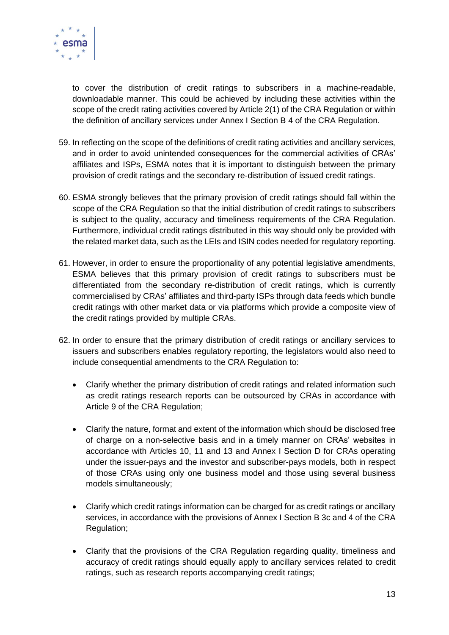

to cover the distribution of credit ratings to subscribers in a machine-readable, downloadable manner. This could be achieved by including these activities within the scope of the credit rating activities covered by Article 2(1) of the CRA Regulation or within the definition of ancillary services under Annex I Section B 4 of the CRA Regulation.

- 59. In reflecting on the scope of the definitions of credit rating activities and ancillary services, and in order to avoid unintended consequences for the commercial activities of CRAs' affiliates and ISPs, ESMA notes that it is important to distinguish between the primary provision of credit ratings and the secondary re-distribution of issued credit ratings.
- 60. ESMA strongly believes that the primary provision of credit ratings should fall within the scope of the CRA Regulation so that the initial distribution of credit ratings to subscribers is subject to the quality, accuracy and timeliness requirements of the CRA Regulation. Furthermore, individual credit ratings distributed in this way should only be provided with the related market data, such as the LEIs and ISIN codes needed for regulatory reporting.
- 61. However, in order to ensure the proportionality of any potential legislative amendments, ESMA believes that this primary provision of credit ratings to subscribers must be differentiated from the secondary re-distribution of credit ratings, which is currently commercialised by CRAs' affiliates and third-party ISPs through data feeds which bundle credit ratings with other market data or via platforms which provide a composite view of the credit ratings provided by multiple CRAs.
- 62. In order to ensure that the primary distribution of credit ratings or ancillary services to issuers and subscribers enables regulatory reporting, the legislators would also need to include consequential amendments to the CRA Regulation to:
	- Clarify whether the primary distribution of credit ratings and related information such as credit ratings research reports can be outsourced by CRAs in accordance with Article 9 of the CRA Regulation;
	- Clarify the nature, format and extent of the information which should be disclosed free of charge on a non-selective basis and in a timely manner on CRAs' websites in accordance with Articles 10, 11 and 13 and Annex I Section D for CRAs operating under the issuer-pays and the investor and subscriber-pays models, both in respect of those CRAs using only one business model and those using several business models simultaneously;
	- Clarify which credit ratings information can be charged for as credit ratings or ancillary services, in accordance with the provisions of Annex I Section B 3c and 4 of the CRA Regulation;
	- Clarify that the provisions of the CRA Regulation regarding quality, timeliness and accuracy of credit ratings should equally apply to ancillary services related to credit ratings, such as research reports accompanying credit ratings;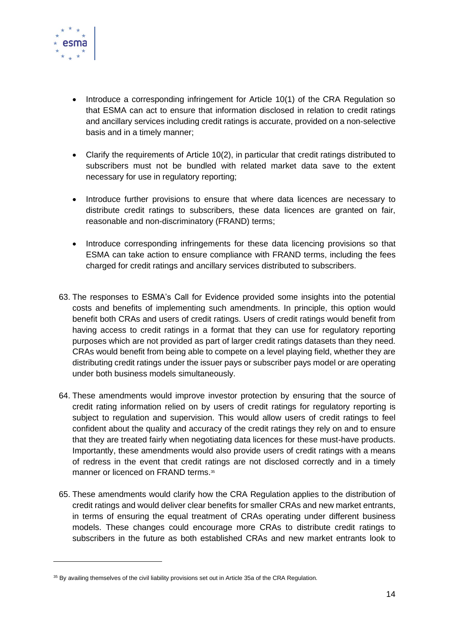

- Introduce a corresponding infringement for Article 10(1) of the CRA Regulation so that ESMA can act to ensure that information disclosed in relation to credit ratings and ancillary services including credit ratings is accurate, provided on a non-selective basis and in a timely manner;
- Clarify the requirements of Article 10(2), in particular that credit ratings distributed to subscribers must not be bundled with related market data save to the extent necessary for use in regulatory reporting;
- Introduce further provisions to ensure that where data licences are necessary to distribute credit ratings to subscribers, these data licences are granted on fair, reasonable and non-discriminatory (FRAND) terms;
- Introduce corresponding infringements for these data licencing provisions so that ESMA can take action to ensure compliance with FRAND terms, including the fees charged for credit ratings and ancillary services distributed to subscribers.
- 63. The responses to ESMA's Call for Evidence provided some insights into the potential costs and benefits of implementing such amendments. In principle, this option would benefit both CRAs and users of credit ratings. Users of credit ratings would benefit from having access to credit ratings in a format that they can use for regulatory reporting purposes which are not provided as part of larger credit ratings datasets than they need. CRAs would benefit from being able to compete on a level playing field, whether they are distributing credit ratings under the issuer pays or subscriber pays model or are operating under both business models simultaneously.
- 64. These amendments would improve investor protection by ensuring that the source of credit rating information relied on by users of credit ratings for regulatory reporting is subject to regulation and supervision. This would allow users of credit ratings to feel confident about the quality and accuracy of the credit ratings they rely on and to ensure that they are treated fairly when negotiating data licences for these must-have products. Importantly, these amendments would also provide users of credit ratings with a means of redress in the event that credit ratings are not disclosed correctly and in a timely manner or licenced on FRAND terms.<sup>35</sup>
- 65. These amendments would clarify how the CRA Regulation applies to the distribution of credit ratings and would deliver clear benefits for smaller CRAs and new market entrants, in terms of ensuring the equal treatment of CRAs operating under different business models. These changes could encourage more CRAs to distribute credit ratings to subscribers in the future as both established CRAs and new market entrants look to

<sup>&</sup>lt;sup>35</sup> By availing themselves of the civil liability provisions set out in Article 35a of the CRA Regulation.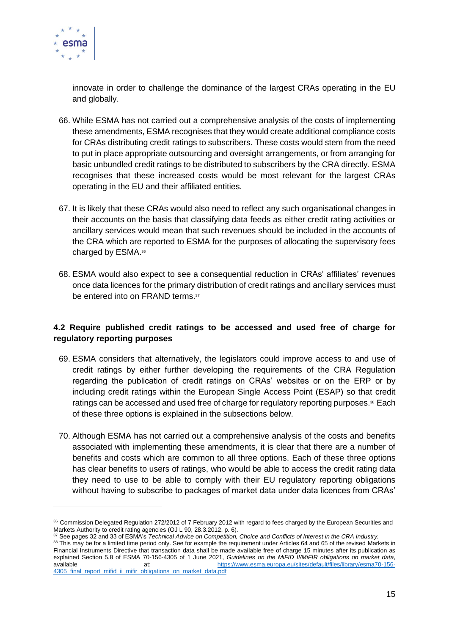

innovate in order to challenge the dominance of the largest CRAs operating in the EU and globally.

- 66. While ESMA has not carried out a comprehensive analysis of the costs of implementing these amendments, ESMA recognises that they would create additional compliance costs for CRAs distributing credit ratings to subscribers. These costs would stem from the need to put in place appropriate outsourcing and oversight arrangements, or from arranging for basic unbundled credit ratings to be distributed to subscribers by the CRA directly. ESMA recognises that these increased costs would be most relevant for the largest CRAs operating in the EU and their affiliated entities.
- 67. It is likely that these CRAs would also need to reflect any such organisational changes in their accounts on the basis that classifying data feeds as either credit rating activities or ancillary services would mean that such revenues should be included in the accounts of the CRA which are reported to ESMA for the purposes of allocating the supervisory fees charged by ESMA.<sup>36</sup>
- 68. ESMA would also expect to see a consequential reduction in CRAs' affiliates' revenues once data licences for the primary distribution of credit ratings and ancillary services must be entered into on FRAND terms.<sup>37</sup>

## **4.2 Require published credit ratings to be accessed and used free of charge for regulatory reporting purposes**

- 69. ESMA considers that alternatively, the legislators could improve access to and use of credit ratings by either further developing the requirements of the CRA Regulation regarding the publication of credit ratings on CRAs' websites or on the ERP or by including credit ratings within the European Single Access Point (ESAP) so that credit ratings can be accessed and used free of charge for regulatory reporting purposes.<sup>38</sup> Each of these three options is explained in the subsections below.
- 70. Although ESMA has not carried out a comprehensive analysis of the costs and benefits associated with implementing these amendments, it is clear that there are a number of benefits and costs which are common to all three options. Each of these three options has clear benefits to users of ratings, who would be able to access the credit rating data they need to use to be able to comply with their EU regulatory reporting obligations without having to subscribe to packages of market data under data licences from CRAs'

<sup>36</sup> Commission Delegated Regulation 272/2012 of 7 February 2012 with regard to fees charged by the European Securities and Markets Authority to credit rating agencies (OJ L 90, 28.3.2012, p. 6).

<sup>37</sup> See pages 32 and 33 of ESMA's *Technical Advice on Competition, Choice and Conflicts of Interest in the CRA Industry.*

<sup>38</sup> This may be for a limited time period only. See for example the requirement under Articles 64 and 65 of the revised Markets in Financial Instruments Directive that transaction data shall be made available free of charge 15 minutes after its publication as explained Section 5.8 of ESMA 70-156-4305 of 1 June 2021, *Guidelines on the MiFID II/MiFIR obligations on market data,*  available at: [https://www.esma.europa.eu/sites/default/files/library/esma70-156-](https://www.esma.europa.eu/sites/default/files/library/esma70-156-4305_final_report_mifid_ii_mifir_obligations_on_market_data.pdf) 4305\_final\_report\_mifid\_ii\_mifir\_obligations\_on\_market\_data.pdf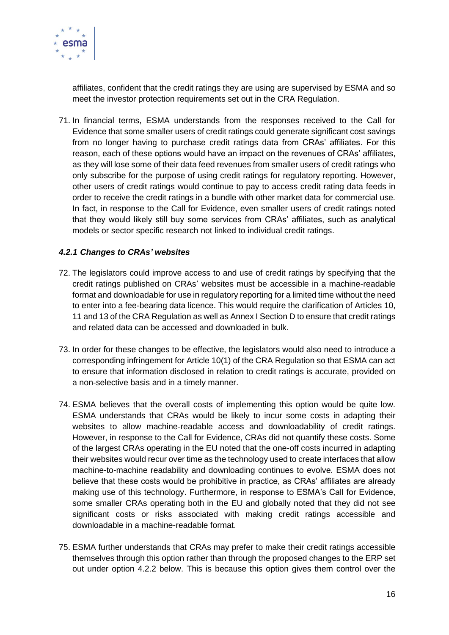

affiliates, confident that the credit ratings they are using are supervised by ESMA and so meet the investor protection requirements set out in the CRA Regulation.

71. In financial terms, ESMA understands from the responses received to the Call for Evidence that some smaller users of credit ratings could generate significant cost savings from no longer having to purchase credit ratings data from CRAs' affiliates. For this reason, each of these options would have an impact on the revenues of CRAs' affiliates, as they will lose some of their data feed revenues from smaller users of credit ratings who only subscribe for the purpose of using credit ratings for regulatory reporting. However, other users of credit ratings would continue to pay to access credit rating data feeds in order to receive the credit ratings in a bundle with other market data for commercial use. In fact, in response to the Call for Evidence, even smaller users of credit ratings noted that they would likely still buy some services from CRAs' affiliates, such as analytical models or sector specific research not linked to individual credit ratings.

### *4.2.1 Changes to CRAs' websites*

- 72. The legislators could improve access to and use of credit ratings by specifying that the credit ratings published on CRAs' websites must be accessible in a machine-readable format and downloadable for use in regulatory reporting for a limited time without the need to enter into a fee-bearing data licence. This would require the clarification of Articles 10, 11 and 13 of the CRA Regulation as well as Annex I Section D to ensure that credit ratings and related data can be accessed and downloaded in bulk.
- 73. In order for these changes to be effective, the legislators would also need to introduce a corresponding infringement for Article 10(1) of the CRA Regulation so that ESMA can act to ensure that information disclosed in relation to credit ratings is accurate, provided on a non-selective basis and in a timely manner.
- 74. ESMA believes that the overall costs of implementing this option would be quite low. ESMA understands that CRAs would be likely to incur some costs in adapting their websites to allow machine-readable access and downloadability of credit ratings. However, in response to the Call for Evidence, CRAs did not quantify these costs. Some of the largest CRAs operating in the EU noted that the one-off costs incurred in adapting their websites would recur over time as the technology used to create interfaces that allow machine-to-machine readability and downloading continues to evolve. ESMA does not believe that these costs would be prohibitive in practice, as CRAs' affiliates are already making use of this technology. Furthermore, in response to ESMA's Call for Evidence, some smaller CRAs operating both in the EU and globally noted that they did not see significant costs or risks associated with making credit ratings accessible and downloadable in a machine-readable format.
- 75. ESMA further understands that CRAs may prefer to make their credit ratings accessible themselves through this option rather than through the proposed changes to the ERP set out under option 4.2.2 below. This is because this option gives them control over the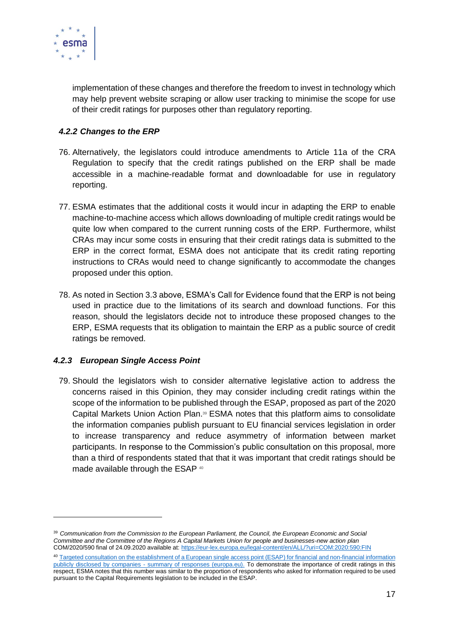

implementation of these changes and therefore the freedom to invest in technology which may help prevent website scraping or allow user tracking to minimise the scope for use of their credit ratings for purposes other than regulatory reporting.

# *4.2.2 Changes to the ERP*

- 76. Alternatively, the legislators could introduce amendments to Article 11a of the CRA Regulation to specify that the credit ratings published on the ERP shall be made accessible in a machine-readable format and downloadable for use in regulatory reporting.
- 77. ESMA estimates that the additional costs it would incur in adapting the ERP to enable machine-to-machine access which allows downloading of multiple credit ratings would be quite low when compared to the current running costs of the ERP. Furthermore, whilst CRAs may incur some costs in ensuring that their credit ratings data is submitted to the ERP in the correct format, ESMA does not anticipate that its credit rating reporting instructions to CRAs would need to change significantly to accommodate the changes proposed under this option.
- 78. As noted in Section 3.3 above, ESMA's Call for Evidence found that the ERP is not being used in practice due to the limitations of its search and download functions. For this reason, should the legislators decide not to introduce these proposed changes to the ERP, ESMA requests that its obligation to maintain the ERP as a public source of credit ratings be removed.

## *4.2.3 European Single Access Point*

79. Should the legislators wish to consider alternative legislative action to address the concerns raised in this Opinion, they may consider including credit ratings within the scope of the information to be published through the ESAP, proposed as part of the 2020 Capital Markets Union Action Plan. <sup>39</sup> ESMA notes that this platform aims to consolidate the information companies publish pursuant to EU financial services legislation in order to increase transparency and reduce asymmetry of information between market participants. In response to the Commission's public consultation on this proposal, more than a third of respondents stated that that it was important that credit ratings should be made available through the ESAP 40

<sup>39</sup> *Communication from the Commission to the European Parliament, the Council, the European Economic and Social Committee and the Committee of the Regions A Capital Markets Union for people and businesses-new action plan* COM/2020/590 final of 24.09.2020 available at[: https://eur-lex.europa.eu/legal-content/en/ALL/?uri=COM:2020:590:FIN](https://eur-lex.europa.eu/legal-content/en/ALL/?uri=COM:2020:590:FIN)

<sup>40</sup> [Targeted consultation on the establishment of a European single access point \(ESAP\) for financial and non-financial information](https://ec.europa.eu/info/sites/default/files/business_economy_euro/banking_and_finance/documents/2021-european-single-access-point-summary-of-responses_en.pdf)  publicly disclosed by companies - [summary of responses \(europa.eu\).](https://ec.europa.eu/info/sites/default/files/business_economy_euro/banking_and_finance/documents/2021-european-single-access-point-summary-of-responses_en.pdf) To demonstrate the importance of credit ratings in this respect, ESMA notes that this number was similar to the proportion of respondents who asked for information required to be used pursuant to the Capital Requirements legislation to be included in the ESAP.